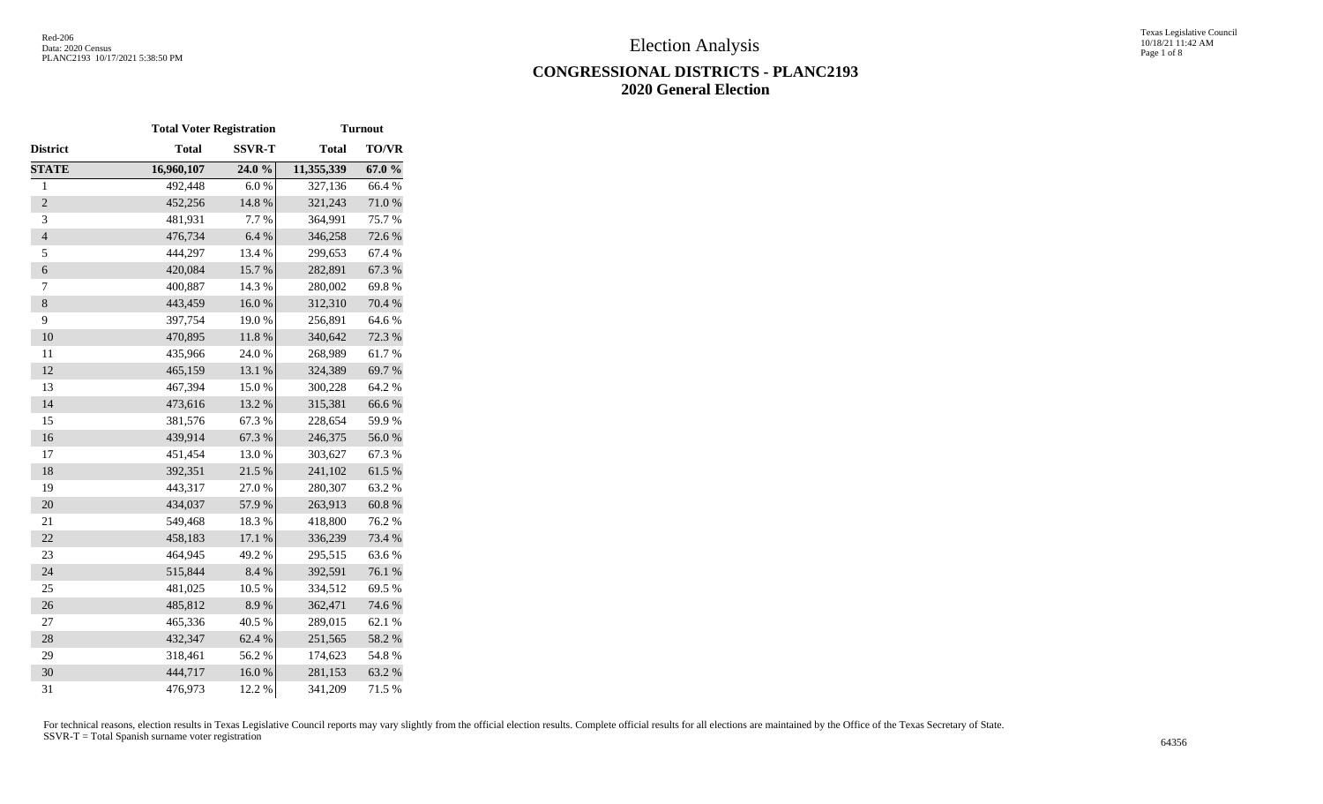Texas Legislative Council 10/18/21 11:42 AM Page 1 of 8

# **CONGRESSIONAL DISTRICTS - PLANC2193 2020 General Election**

|                          | <b>Total Voter Registration</b> |               |              | <b>Turnout</b> |
|--------------------------|---------------------------------|---------------|--------------|----------------|
| District                 | <b>Total</b>                    | <b>SSVR-T</b> | <b>Total</b> | <b>TO/VR</b>   |
| <b>STATE</b>             | 16,960,107                      | 24.0 %        | 11,355,339   | 67.0%          |
| $\mathbf{1}$             | 492,448                         | 6.0%          | 327,136      | 66.4%          |
| $\overline{2}$           | 452,256                         | 14.8 %        | 321,243      | $71.0\,\%$     |
| 3                        | 481,931                         | 7.7 %         | 364,991      | 75.7%          |
| $\overline{\mathcal{L}}$ | 476,734                         | 6.4%          | 346,258      | 72.6%          |
| 5                        | 444,297                         | 13.4 %        | 299,653      | 67.4 %         |
| $\boldsymbol{6}$         | 420,084                         | 15.7 %        | 282,891      | 67.3 %         |
| $\tau$                   | 400,887                         | 14.3 %        | 280,002      | 69.8%          |
| $\,8\,$                  | 443,459                         | 16.0%         | 312,310      | 70.4 %         |
| 9                        | 397,754                         | 19.0%         | 256,891      | 64.6%          |
| 10                       | 470,895                         | 11.8 %        | 340,642      | 72.3 %         |
| 11                       | 435,966                         | 24.0%         | 268,989      | 61.7%          |
| 12                       | 465,159                         | 13.1 %        | 324,389      | 69.7%          |
| 13                       | 467,394                         | 15.0%         | 300,228      | 64.2%          |
| 14                       | 473,616                         | 13.2 %        | 315,381      | 66.6%          |
| 15                       | 381,576                         | 67.3%         | 228,654      | 59.9%          |
| 16                       | 439,914                         | 67.3 %        | 246,375      | $56.0\;\%$     |
| 17                       | 451,454                         | 13.0%         | 303,627      | 67.3%          |
| 18                       | 392,351                         | 21.5 %        | 241,102      | 61.5%          |
| 19                       | 443,317                         | 27.0 %        | 280,307      | 63.2%          |
| 20                       | 434,037                         | 57.9%         | 263,913      | $60.8~\%$      |
| 21                       | 549,468                         | 18.3%         | 418,800      | 76.2%          |
| 22                       | 458,183                         | 17.1 %        | 336,239      | 73.4 %         |
| 23                       | 464,945                         | 49.2%         | 295,515      | 63.6%          |
| 24                       | 515,844                         | 8.4 %         | 392,591      | 76.1 %         |
| 25                       | 481,025                         | 10.5 %        | 334,512      | 69.5 %         |
| 26                       | 485,812                         | 8.9%          | 362,471      | 74.6%          |
| 27                       | 465,336                         | 40.5 %        | 289,015      | 62.1 %         |
| 28                       | 432,347                         | 62.4 %        | 251,565      | 58.2 %         |
| 29                       | 318,461                         | 56.2%         | 174,623      | 54.8%          |
| 30                       | 444,717                         | 16.0%         | 281,153      | 63.2%          |
| 31                       | 476,973                         | 12.2 %        | 341,209      | 71.5 %         |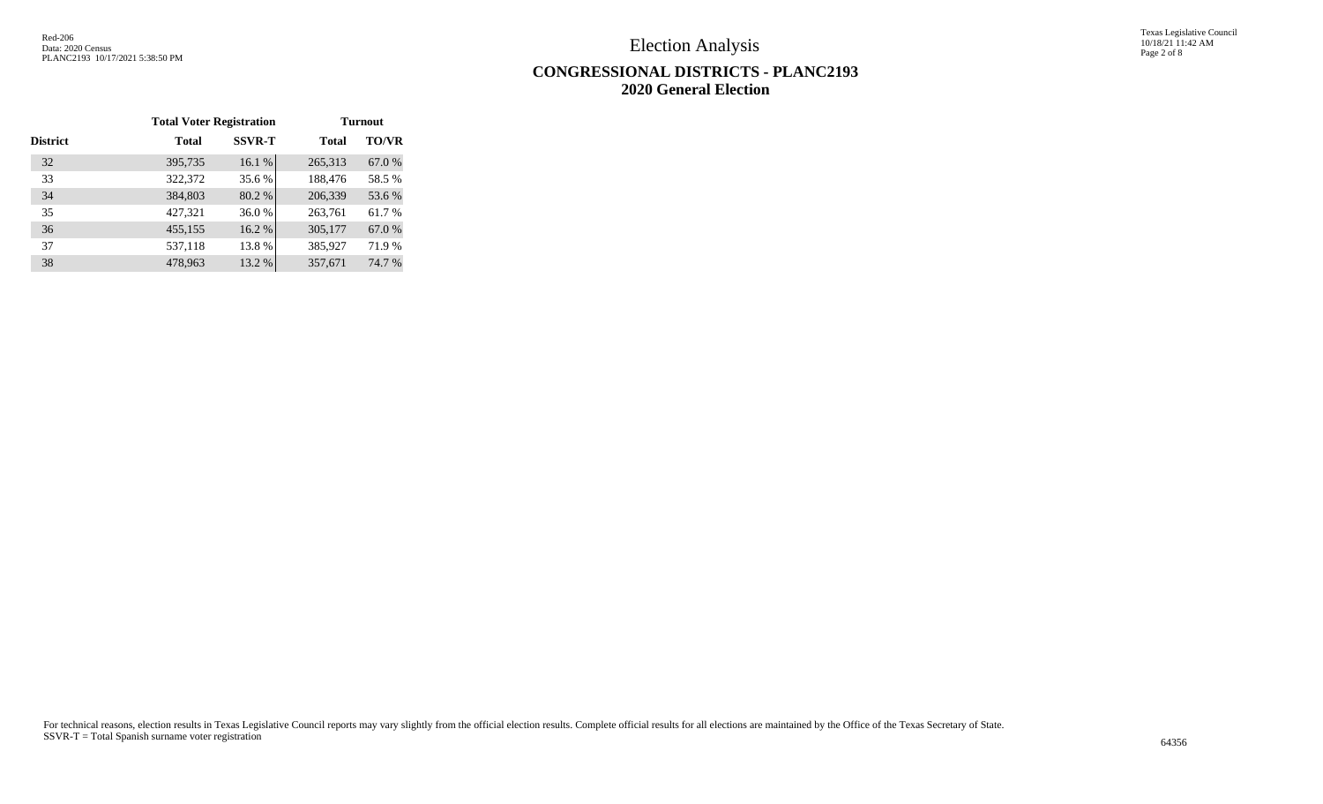Texas Legislative Council 10/18/21 11:42 AM Page 2 of 8

# **CONGRESSIONAL DISTRICTS - PLANC2193 2020 General Election**

|          | <b>Total Voter Registration</b> |               | <b>Turnout</b> |              |  |  |  |  |
|----------|---------------------------------|---------------|----------------|--------------|--|--|--|--|
| District | <b>Total</b>                    | <b>SSVR-T</b> | <b>Total</b>   | <b>TO/VR</b> |  |  |  |  |
| 32       | 395,735                         | 16.1 %        | 265,313        | 67.0%        |  |  |  |  |
| 33       | 322,372                         | 35.6 %        | 188,476        | 58.5%        |  |  |  |  |
| 34       | 384,803                         | 80.2%         | 206,339        | 53.6 %       |  |  |  |  |
| 35       | 427,321                         | 36.0%         | 263,761        | 61.7%        |  |  |  |  |
| 36       | 455,155                         | 16.2%         | 305,177        | 67.0%        |  |  |  |  |
| 37       | 537,118                         | 13.8%         | 385,927        | 71.9%        |  |  |  |  |
| 38       | 478,963                         | 13.2 %        | 357,671        | 74.7 %       |  |  |  |  |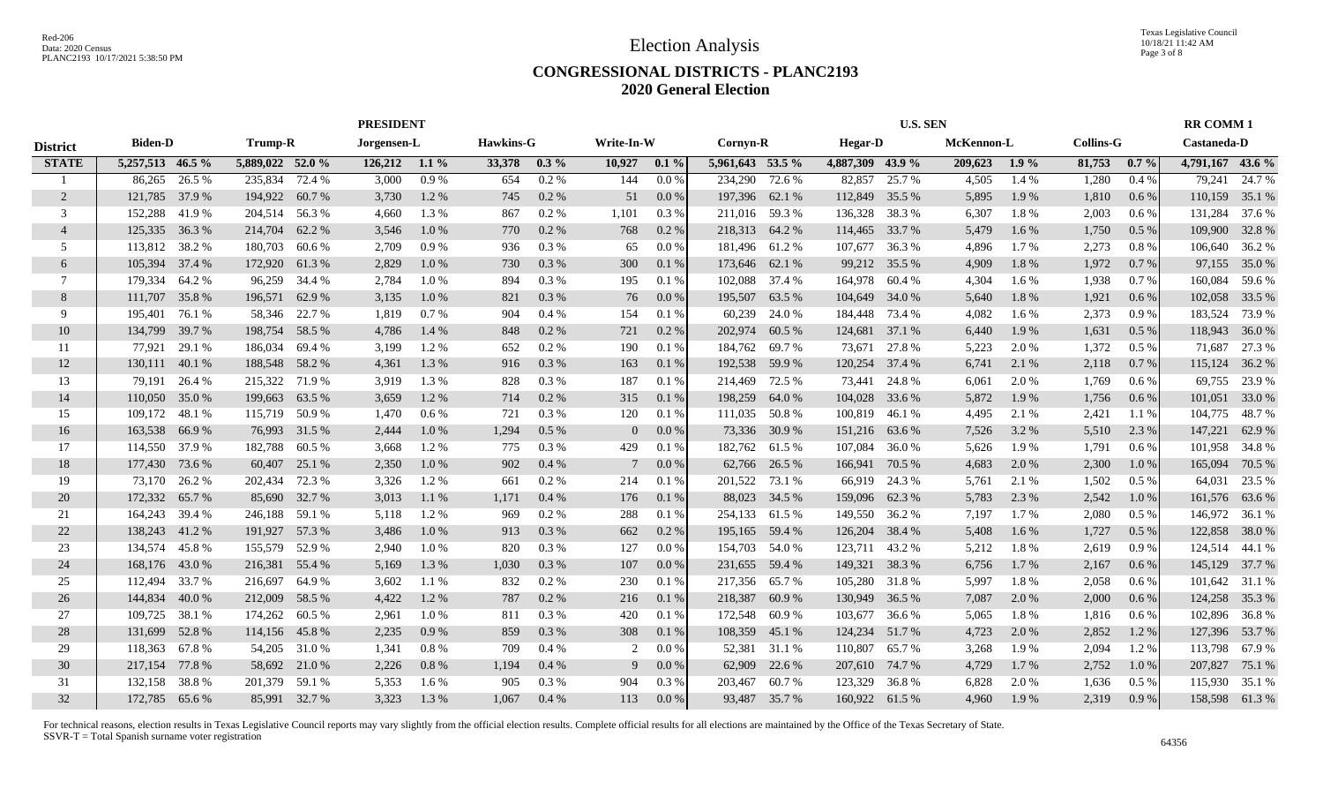## **CONGRESSIONAL DISTRICTS - PLANC2193 2020 General Election**

|                 |                  |        |                  |        | <b>PRESIDENT</b> |         |                  |          |            |         |                  |               |                  | <b>U.S. SEN</b> |            |         |                  |         | <b>RR COMM1</b>  |                |
|-----------------|------------------|--------|------------------|--------|------------------|---------|------------------|----------|------------|---------|------------------|---------------|------------------|-----------------|------------|---------|------------------|---------|------------------|----------------|
| <b>District</b> | <b>Biden-D</b>   |        | <b>Trump-R</b>   |        | Jorgensen-L      |         | <b>Hawkins-G</b> |          | Write-In-W |         | Cornyn-R         |               | <b>Hegar-D</b>   |                 | McKennon-L |         | <b>Collins-G</b> |         | Castaneda-D      |                |
| <b>STATE</b>    | 5,257,513 46.5 % |        | 5,889,022 52.0 % |        | $126,212$ 1.1 %  |         | 33,378           | $0.3\%$  | 10,927     | $0.1\%$ | 5,961,643 53.5 % |               | 4,887,309 43.9 % |                 | 209,623    | $1.9\%$ | 81,753           | $0.7\%$ | 4,791,167 43.6 % |                |
|                 | 86,265           | 26.5 % | 235,834 72.4 %   |        | 3,000            | 0.9%    | 654              | $0.2\%$  | 144        | $0.0\%$ | 234,290          | 72.6 %        | 82,857           | 25.7 %          | 4,505      | 1.4%    | 1,280            | $0.4\%$ | 79,241           | 24.7 %         |
| 2               | 121,785          | 37.9 % | 194,922 60.7 %   |        | 3,730            | 1.2 %   | 745              | $0.2 \%$ | 51         | 0.0 %   | 197,396          | 62.1 %        | 112,849          | 35.5 %          | 5,895      | 1.9 %   | 1,810            | $0.6\%$ | 110,159          | 35.1 %         |
| 3               | 152,288          | 41.9%  | 204,514 56.3 %   |        | 4,660            | 1.3%    | 867              | $0.2\%$  | 1,101      | $0.3\%$ | 211,016          | 59.3%         | 136,328          | 38.3 %          | 6,307      | 1.8%    | 2,003            | 0.6 %   | 131,284          | 37.6 %         |
| $\overline{4}$  | 125,335          | 36.3 % | 214,704          | 62.2 % | 3,546            | $1.0\%$ | 770              | 0.2 %    | 768        | $0.2\%$ | 218,313          | 64.2 %        | 114,465          | 33.7 %          | 5,479      | 1.6 %   | 1,750            | 0.5%    | 109,900          | 32.8%          |
| .5              | 113,812          | 38.2 % | 180,703          | 60.6 % | 2,709            | 0.9%    | 936              | 0.3%     | 65         | 0.0 %   | 181,496          | 61.2%         | 107,677          | 36.3 %          | 4,896      | 1.7 %   | 2,273            | 0.8%    | 106,640          | 36.2 %         |
| 6               | 105,394          | 37.4 % | 172,920          | 61.3%  | 2,829            | 1.0%    | 730              | 0.3%     | 300        | 0.1%    | 173,646          | 62.1 %        | 99,212           | 35.5 %          | 4,909      | 1.8 %   | 1,972            | 0.7%    | 97,155           | 35.0%          |
| 7               | 179,334          | 64.2 % | 96,259           | 34.4 % | 2,784            | $1.0\%$ | 894              | 0.3 %    | 195        | 0.1%    | 102,088          | 37.4 %        | 164,978          | 60.4 %          | 4,304      | $1.6\%$ | 1,938            | 0.7%    | 160,084          | 59.6 %         |
| 8               | 111,707          | 35.8%  | 196,571          | 62.9%  | 3,135            | 1.0 %   | 821              | 0.3 %    | 76         | 0.0 %   | 195,507          | 63.5 %        | 104,649          | 34.0 %          | 5,640      | 1.8%    | 1,921            | 0.6%    | 102,058          | 33.5 %         |
| 9               | 195,401          | 76.1 % | 58,346           | 22.7 % | 1,819            | 0.7%    | 904              | 0.4%     | 154        | 0.1%    | 60,239           | 24.0 %        | 184,448          | 73.4 %          | 4,082      | $1.6\%$ | 2,373            | 0.9%    | 183,524          | 73.9 %         |
| 10              | 134,799          | 39.7 % | 198,754          | 58.5 % | 4,786            | 1.4 %   | 848              | $0.2 \%$ | 721        | 0.2 %   | 202,974          | 60.5 %        | 124,681          | 37.1 %          | 6,440      | 1.9 %   | 1,631            | 0.5%    | 118,943          | 36.0%          |
| 11              | 77,921           | 29.1 % | 186,034          | 69.4 % | 3,199            | 1.2%    | 652              | 0.2%     | 190        | 0.1%    | 184,762          | 69.7%         |                  | 73,671 27.8 %   | 5,223      | 2.0 %   | 1,372            | $0.5\%$ | 71,687           | 27.3 %         |
| 12              | 130,111          | 40.1 % | 188,548          | 58.2 % | 4,361            | 1.3 %   | 916              | 0.3%     | 163        | 0.1%    | 192,538          | 59.9 %        | 120,254 37.4 %   |                 | 6,741      | 2.1 %   | 2,118            | 0.7%    | 115,124          | 36.2 %         |
| 13              | 79,191           | 26.4 % | 215,322 71.9 %   |        | 3,919            | 1.3%    | 828              | 0.3%     | 187        | $0.1\%$ | 214,469          | 72.5 %        |                  | 73,441 24.8 %   | 6,061      | 2.0 %   | 1,769            | 0.6%    | 69,755           | 23.9%          |
| 14              | 110,050          | 35.0 % | 199,663          | 63.5 % | 3,659            | 1.2 %   | 714              | 0.2 %    | 315        | 0.1%    | 198,259          | 64.0%         | 104,028 33.6 %   |                 | 5,872      | 1.9%    | 1,756            | 0.6%    | 101,051          | 33.0 %         |
| 15              | 109,172          | 48.1 % | 115,719 50.9 %   |        | 1,470            | $0.6\%$ | 721              | 0.3%     | 120        | 0.1%    | 111,035          | 50.8%         | 100,819 46.1 %   |                 | 4,495      | 2.1 %   | 2,421            | 1.1%    | 104,775          | 48.7%          |
| 16              | 163,538          | 66.9 % | 76,993           | 31.5 % | 2,444            | 1.0 %   | 1,294            | 0.5%     | 0          | 0.0 %   | 73,336           | 30.9 %        | 151,216 63.6 %   |                 | 7,526      | 3.2 %   | 5,510            | 2.3 %   | 147,221          | 62.9 %         |
| 17              | 114,550          | 37.9 % | 182,788          | 60.5 % | 3,668            | 1.2 %   | 775              | $0.3\%$  | 429        | 0.1%    | 182,762          | 61.5 %        | 107,084          | 36.0 %          | 5,626      | 1.9 %   | 1,791            | $0.6\%$ | 101,958          | 34.8%          |
| 18              | 177,430          | 73.6 % | 60,407           | 25.1 % | 2,350            | 1.0%    | 902              | 0.4%     | 7          | 0.0 %   | 62,766           | 26.5 %        | 166,941          | 70.5 %          | 4,683      | 2.0 %   | 2,300            | $1.0\%$ | 165,094          | 70.5 %         |
| 19              | 73,170           | 26.2 % | 202,434          | 72.3 % | 3,326            | 1.2 %   | 661              | 0.2%     | 214        | 0.1%    | 201,522          | 73.1 %        | 66,919           | 24.3 %          | 5,761      | 2.1 %   | 1,502            | 0.5%    | 64,031           | 23.5 %         |
| 20              | 172,332          | 65.7 % | 85,690           | 32.7 % | 3,013            | 1.1 %   | 1,171            | 0.4%     | 176        | 0.1%    | 88,023           | 34.5 %        | 159,096          | 62.3%           | 5,783      | 2.3 %   | 2,542            | 1.0%    |                  | 161,576 63.6 % |
| 21              | 164,243          | 39.4 % | 246,188          | 59.1 % | 5,118            | 1.2%    | 969              | 0.2 %    | 288        | 0.1%    | 254,133          | 61.5 %        | 149,550 36.2 %   |                 | 7,197      | 1.7%    | 2,080            | 0.5%    | 146,972          | 36.1 %         |
| 22              | 138,243          | 41.2%  | 191,927          | 57.3 % | 3,486            | 1.0%    | 913              | 0.3%     | 662        | 0.2 %   | 195,165          | 59.4 %        | 126,204 38.4 %   |                 | 5,408      | 1.6 %   | 1,727            | 0.5%    | 122,858          | 38.0%          |
| 23              | 134,574          | 45.8%  | 155,579          | 52.9%  | 2,940            | 1.0%    | 820              | 0.3%     | 127        | $0.0\%$ | 154,703          | 54.0%         | 123,711          | 43.2 %          | 5,212      | 1.8%    | 2,619            | 0.9%    |                  | 124,514 44.1 % |
| 24              | 168,176          | 43.0 % | 216,381          | 55.4 % | 5,169            | 1.3 %   | 1,030            | 0.3%     | 107        | 0.0 %   | 231,655          | 59.4 %        | 149,321 38.3 %   |                 | 6,756      | 1.7%    | 2,167            | 0.6 %   | 145,129          | 37.7 %         |
| 25              | 112,494          | 33.7 % | 216,697          | 64.9 % | 3,602            | 1.1%    | 832              | 0.2 %    | 230        | 0.1%    | 217,356          | 65.7 %        | 105,280 31.8 %   |                 | 5,997      | 1.8%    | 2,058            | $0.6\%$ |                  | 101,642 31.1 % |
| 26              | 144,834          | 40.0 % | 212,009          | 58.5 % | 4,422            | 1.2 %   | 787              | 0.2 %    | 216        | 0.1%    | 218,387          | 60.9%         | 130,949 36.5 %   |                 | 7,087      | 2.0%    | 2,000            | 0.6 %   | 124,258          | 35.3 %         |
| 27              | 109,725          | 38.1 % | 174,262          | 60.5 % | 2,961            | 1.0%    | 811              | 0.3%     | 420        | 0.1%    | 172,548          | 60.9%         | 103,677          | 36.6 %          | 5,065      | 1.8%    | 1,816            | 0.6 %   | 102,896          | 36.8%          |
| 28              | 131,699          | 52.8%  | 114,156          | 45.8%  | 2,235            | 0.9%    | 859              | 0.3%     | 308        | 0.1%    | 108,359          | 45.1 %        | 124,234          | 51.7%           | 4,723      | 2.0 %   | 2,852            | 1.2 %   |                  | 127,396 53.7 % |
| 29              | 118,363          | 67.8%  | 54,205 31.0 %    |        | 1,341            | $0.8\%$ | 709              | 0.4%     | 2          | 0.0 %   | 52,381           | 31.1 %        | 110,807          | 65.7%           | 3,268      | 1.9%    | 2,094            | 1.2%    |                  | 113,798 67.9 % |
| 30              | 217,154          | 77.8%  | 58,692 21.0 %    |        | 2,226            | 0.8 %   | 1,194            | 0.4%     | 9          | 0.0 %   | 62,909           | 22.6 %        | 207,610 74.7 %   |                 | 4,729      | 1.7 %   | 2,752            | $1.0\%$ |                  | 207,827 75.1 % |
| 31              | 132,158          | 38.8%  | 201,379          | 59.1 % | 5,353            | $1.6\%$ | 905              | $0.3\%$  | 904        | 0.3%    | 203,467          | 60.7 %        | 123,329          | 36.8%           | 6,828      | 2.0%    | 1,636            | 0.5 %   | 115,930          | 35.1 %         |
| 32              | 172,785 65.6 %   |        | 85,991 32.7 %    |        | 3,323            | 1.3 %   | 1.067            | 0.4%     | 113        | 0.0 %   |                  | 93,487 35.7 % | 160,922 61.5 %   |                 | 4.960      | 1.9%    | 2,319            | 0.9%    |                  | 158,598 61.3%  |
|                 |                  |        |                  |        |                  |         |                  |          |            |         |                  |               |                  |                 |            |         |                  |         |                  |                |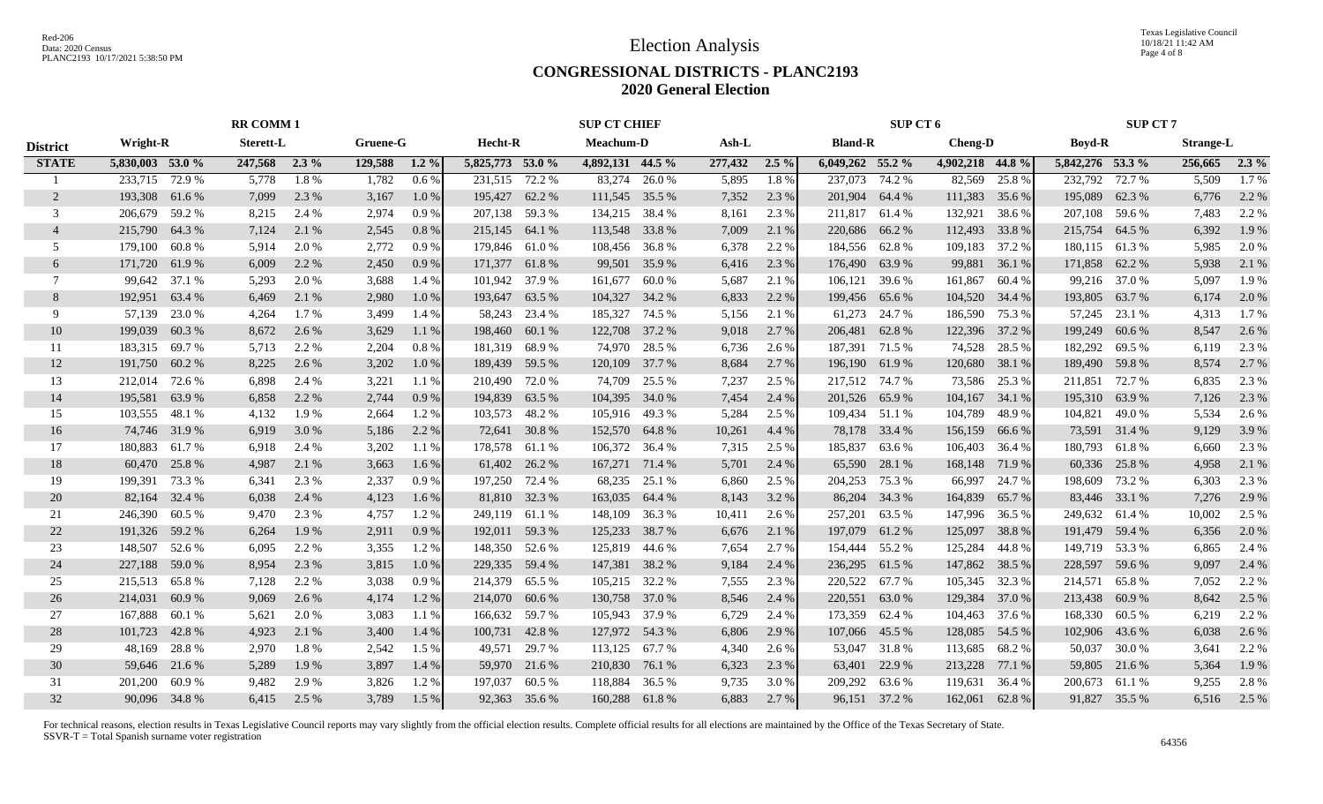Texas Legislative Council 10/18/21 11:42 AM Page 4 of 8

#### **CONGRESSIONAL DISTRICTS - PLANC2193 2020 General Election**

|                 | <b>RR COMM1</b>  |        |                  | <b>SUP CT CHIEF</b> |          |          |                  | SUP CT 6 |                  |        | <b>SUP CT 7</b> |         |                    |               |                  |        |                  |               |                  |         |
|-----------------|------------------|--------|------------------|---------------------|----------|----------|------------------|----------|------------------|--------|-----------------|---------|--------------------|---------------|------------------|--------|------------------|---------------|------------------|---------|
| <b>District</b> | <b>Wright-R</b>  |        | <b>Sterett-L</b> |                     | Gruene-G |          | <b>Hecht-R</b>   |          | <b>Meachum-D</b> |        | Ash-L           |         | <b>Bland-R</b>     |               | <b>Cheng-D</b>   |        | <b>Boyd-R</b>    |               | <b>Strange-L</b> |         |
| <b>STATE</b>    | 5,830,003 53.0 % |        | 247,568          | $2.3\%$             | 129,588  | $1.2\%$  | 5,825,773 53.0 % |          | 4,892,131 44.5 % |        | 277,432         | $2.5\%$ | $6,049,262$ 55.2 % |               | 4,902,218 44.8 % |        | 5,842,276 53.3 % |               | 256,665          | $2.3\%$ |
|                 | 233,715 72.9 %   |        | 5,778            | 1.8%                | 1,782    | 0.6%     | 231,515 72.2 %   |          | 83,274           | 26.0%  | 5,895           | 1.8%    | 237,073 74.2 %     |               | 82,569           | 25.8%  | 232,792          | 72.7 %        | 5,509            | 1.7%    |
| 2               | 193,308 61.6 %   |        | 7,099            | 2.3 %               | 3,167    | $1.0\%$  | 195,427 62.2 %   |          | 111,545 35.5 %   |        | 7,352           | 2.3 %   | 201,904 64.4 %     |               | 111,383          | 35.6 % | 195,089          | 62.3%         | 6,776            | 2.2 %   |
| 3               | 206,679          | 59.2 % | 8,215            | 2.4 %               | 2,974    | 0.9%     | 207,138 59.3 %   |          | 134,215 38.4 %   |        | 8,161           | 2.3 %   | 211,817            | 61.4 %        | 132,921          | 38.6 % | 207,108          | 59.6 %        | 7,483            | 2.2 %   |
| $\overline{4}$  | 215,790          | 64.3%  | 7,124            | 2.1 %               | 2,545    | 0.8%     | 215,145 64.1 %   |          | 113,548          | 33.8%  | 7,009           | 2.1 %   | 220,686 66.2 %     |               | 112,493          | 33.8%  | 215,754          | 64.5 %        | 6,392            | 1.9%    |
| 5               | 179,100          | 60.8%  | 5,914            | 2.0 %               | 2,772    | 0.9%     | 179,846 61.0 %   |          | 108,456          | 36.8%  | 6,378           | 2.2 %   | 184,556            | 62.8%         | 109,183          | 37.2 % | 180,115 61.3 %   |               | 5,985            | 2.0 %   |
| 6               | 171,720          | 61.9%  | 6,009            | 2.2 %               | 2,450    | 0.9%     | 171,377 61.8 %   |          | 99,501           | 35.9%  | 6,416           | 2.3 %   | 176,490            | 63.9%         | 99,881           | 36.1 % | 171,858 62.2 %   |               | 5,938            | 2.1 %   |
| 7               | 99,642           | 37.1 % | 5,293            | 2.0 %               | 3,688    | 1.4 %    | 101,942 37.9 %   |          | 161,677          | 60.0%  | 5,687           | 2.1 %   | 106,121            | 39.6 %        | 161,867          | 60.4 % |                  | 99,216 37.0 % | 5,097            | 1.9%    |
| 8               | 192,951          | 63.4 % | 6,469            | 2.1 %               | 2,980    | 1.0%     | 193,647 63.5 %   |          | 104,327 34.2 %   |        | 6,833           | 2.2 %   | 199,456 65.6 %     |               | 104,520          | 34.4 % | 193,805          | 63.7 %        | 6,174            | 2.0%    |
| 9               | 57,139           | 23.0 % | 4,264            | 1.7 %               | 3,499    | 1.4 %    | 58,243           | 23.4 %   | 185,327          | 74.5 % | 5,156           | 2.1 %   | 61,273             | 24.7 %        | 186,590          | 75.3 % | 57,245           | 23.1 %        | 4,313            | 1.7 %   |
| 10              | 199,039          | 60.3%  | 8,672            | 2.6 %               | 3,629    | 1.1%     | 198,460          | 60.1%    | 122,708          | 37.2 % | 9,018           | 2.7 %   | 206,481            | 62.8%         | 122,396          | 37.2 % | 199,249          | 60.6%         | 8,547            | 2.6 %   |
| 11              | 183,315          | 69.7%  | 5,713            | 2.2 %               | 2,204    | $0.8 \%$ | 181,319          | 68.9 %   | 74,970           | 28.5 % | 6,736           | 2.6 %   | 187,391 71.5 %     |               | 74,528           | 28.5 % | 182,292          | 69.5 %        | 6,119            | 2.3 %   |
| 12              | 191,750          | 60.2%  | 8,225            | 2.6 %               | 3,202    | $1.0\%$  | 189,439 59.5 %   |          | 120,109          | 37.7 % | 8,684           | 2.7 %   | 196,190 61.9 %     |               | 120,680          | 38.1 % | 189,490          | 59.8%         | 8,574            | 2.7 %   |
| 13              | 212,014          | 72.6 % | 6,898            | 2.4 %               | 3,221    | 1.1%     | 210,490 72.0 %   |          | 74,709           | 25.5 % | 7,237           | 2.5 %   | 217,512 74.7 %     |               | 73,586           | 25.3 % | 211,851          | 72.7 %        | 6,835            | 2.3 %   |
| 14              | 195,581          | 63.9%  | 6,858            | 2.2 %               | 2,744    | 0.9%     | 194,839          | 63.5 %   | 104,395          | 34.0 % | 7,454           | 2.4 %   | 201,526 65.9 %     |               | 104,167          | 34.1 % | 195,310          | 63.9%         | 7,126            | 2.3 %   |
| 15              | 103,555          | 48.1 % | 4,132            | 1.9%                | 2,664    | 1.2%     | 103,573 48.2 %   |          | 105,916 49.3 %   |        | 5,284           | 2.5 %   | 109,434 51.1 %     |               | 104,789          | 48.9%  | 104,821          | 49.0%         | 5,534            | 2.6 %   |
| 16              | 74,746 31.9 %    |        | 6,919            | 3.0 %               | 5,186    | 2.2 %    | 72,641 30.8 %    |          | 152,570 64.8%    |        | 10,261          | 4.4 %   |                    | 78,178 33.4 % | 156,159          | 66.6%  |                  | 73,591 31.4 % | 9,129            | 3.9%    |
| 17              | 180,883          | 61.7 % | 6,918            | 2.4 %               | 3,202    | 1.1 %    | 178,578 61.1 %   |          | 106,372 36.4 %   |        | 7,315           | 2.5 %   | 185,837 63.6 %     |               | 106,403          | 36.4 % | 180,793 61.8%    |               | 6,660            | 2.3 %   |
| 18              | 60,470           | 25.8%  | 4,987            | 2.1 %               | 3,663    | 1.6%     | 61,402 26.2 %    |          | 167,271 71.4 %   |        | 5,701           | 2.4 %   | 65,590             | 28.1 %        | 168,148          | 71.9 % | 60,336           | 25.8%         | 4,958            | 2.1 %   |
| 19              | 199,391          | 73.3 % | 6,341            | 2.3 %               | 2,337    | 0.9%     | 197,250          | 72.4 %   | 68,235           | 25.1 % | 6,860           | 2.5 %   | 204,253            | 75.3 %        | 66,997           | 24.7 % | 198,609          | 73.2 %        | 6,303            | 2.3 %   |
| 20              | 82,164           | 32.4 % | 6,038            | 2.4 %               | 4,123    | 1.6 %    | 81,810 32.3 %    |          | 163,035          | 64.4 % | 8,143           | 3.2 %   | 86,204             | 34.3 %        | 164,839          | 65.7 % | 83,446           | 33.1 %        | 7,276            | 2.9 %   |
| 21              | 246,390          | 60.5 % | 9,470            | 2.3 %               | 4,757    | 1.2%     | 249,119 61.1 %   |          | 148,109          | 36.3 % | 10,411          | 2.6 %   | 257,201            | 63.5 %        | 147,996          | 36.5 % | 249,632 61.4 %   |               | 10,002           | 2.5 %   |
| 22              | 191,326 59.2 %   |        | 6,264            | 1.9 %               | 2,911    | 0.9%     | 192,011 59.3 %   |          | 125,233          | 38.7 % | 6,676           | 2.1 %   | 197,079            | 61.2%         | 125,097          | 38.8%  | 191,479 59.4 %   |               | 6,356            | 2.0 %   |
| 23              | 148,507          | 52.6 % | 6,095            | 2.2 %               | 3,355    | 1.2%     | 148,350 52.6 %   |          | 125,819          | 44.6 % | 7,654           | 2.7 %   | 154,444            | 55.2 %        | 125,284          | 44.8%  | 149,719          | 53.3 %        | 6,865            | 2.4 %   |
| 24              | 227,188          | 59.0 % | 8,954            | 2.3 %               | 3,815    | 1.0%     | 229,335 59.4 %   |          | 147,381 38.2 %   |        | 9,184           | 2.4 %   | 236,295            | 61.5 %        | 147,862          | 38.5 % | 228,597          | 59.6 %        | 9,097            | 2.4 %   |
| 25              | 215,513          | 65.8%  | 7,128            | 2.2 %               | 3,038    | 0.9%     | 214,379 65.5 %   |          | 105,215 32.2 %   |        | 7,555           | 2.3 %   | 220,522            | 67.7 %        | 105,345          | 32.3 % | 214,571          | 65.8%         | 7.052            | 2.2 %   |
| 26              | 214,031          | 60.9%  | 9,069            | 2.6 %               | 4,174    | 1.2%     | 214,070 60.6 %   |          | 130,758          | 37.0 % | 8,546           | 2.4 %   | 220,551            | 63.0%         | 129,384          | 37.0 % | 213,438          | 60.9%         | 8,642            | 2.5 %   |
| 27              | 167,888          | 60.1 % | 5,621            | 2.0 %               | 3,083    | 1.1 %    | 166,632          | 59.7%    | 105,943          | 37.9 % | 6,729           | 2.4 %   | 173,359            | 62.4 %        | 104,463          | 37.6 % | 168,330          | 60.5 %        | 6,219            | 2.2 %   |
| 28              | 101,723          | 42.8%  | 4,923            | 2.1 %               | 3,400    | 1.4 %    | 100,731          | 42.8%    | 127,972          | 54.3 % | 6,806           | 2.9 %   | 107,066 45.5 %     |               | 128,085          | 54.5 % | 102,906          | 43.6 %        | 6,038            | 2.6 %   |
| 29              | 48,169           | 28.8%  | 2,970            | 1.8%                | 2,542    | 1.5 %    | 49,571           | 29.7 %   | 113,125          | 67.7 % | 4,340           | 2.6 %   |                    | 53,047 31.8 % | 113,685          | 68.2%  | 50,037           | 30.0 %        | 3,641            | 2.2 %   |
| 30              | 59,646           | 21.6 % | 5,289            | 1.9 %               | 3,897    | 1.4 %    | 59,970 21.6 %    |          | 210,830          | 76.1 % | 6,323           | 2.3 %   | 63,401             | 22.9 %        | 213,228          | 77.1 % | 59,805           | 21.6 %        | 5,364            | 1.9 %   |
| 31              | 201,200          | 60.9%  | 9,482            | 2.9 %               | 3,826    | 1.2%     | 197,037          | 60.5 %   | 118,884          | 36.5 % | 9,735           | 3.0 %   | 209,292            | 63.6 %        | 119,631          | 36.4 % | 200,673          | 61.1 %        | 9,255            | 2.8%    |
| 32              | 90,096 34.8 %    |        | 6,415            | 2.5 %               | 3,789    | 1.5 %    | 92,363 35.6 %    |          | 160,288 61.8%    |        | 6,883           | 2.7%    |                    | 96,151 37.2 % | 162,061          | 62.8%  |                  | 91,827 35.5 % | 6,516            | 2.5 %   |
|                 |                  |        |                  |                     |          |          |                  |          |                  |        |                 |         |                    |               |                  |        |                  |               |                  |         |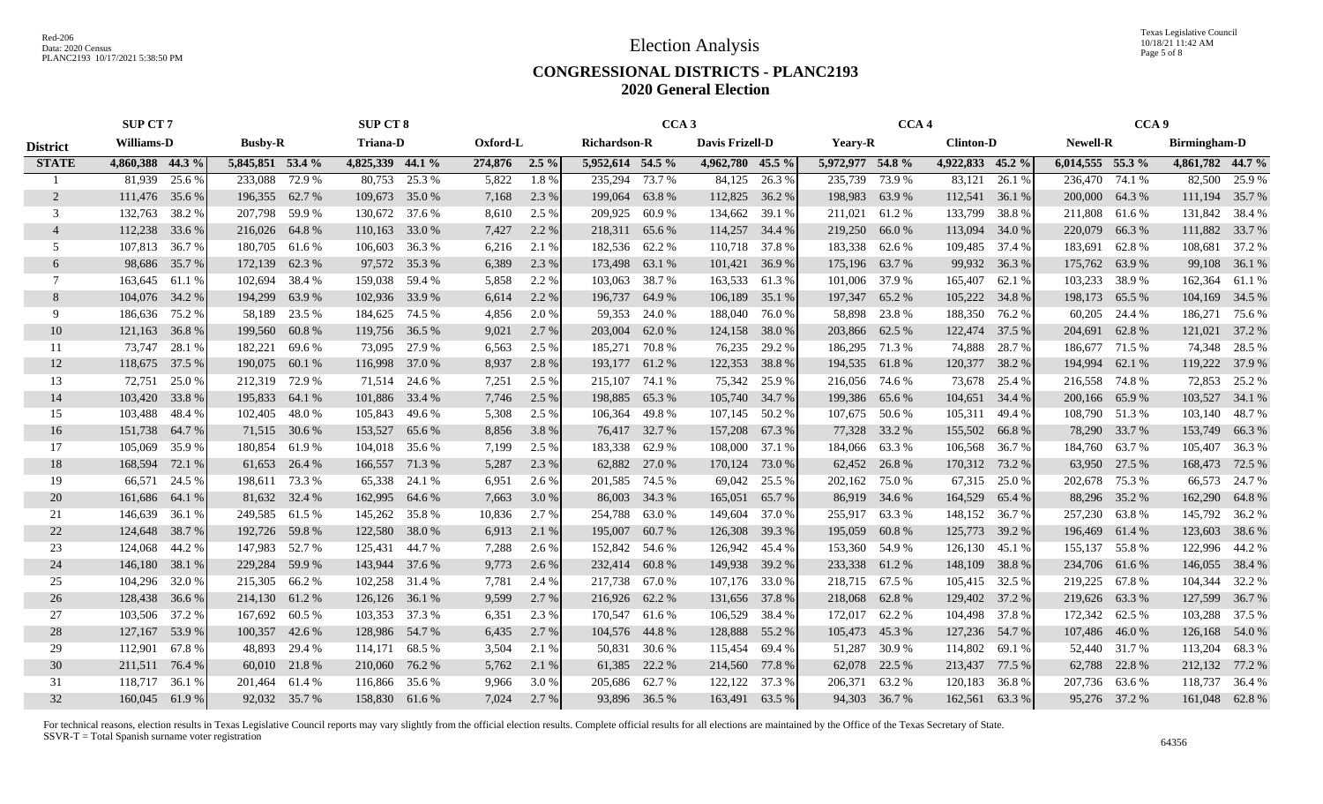### **CONGRESSIONAL DISTRICTS - PLANC2193 2020 General Election**

|                 | <b>SUP CT 7</b>   |                   | <b>SUP CT 8</b>   |                    | CCA <sub>3</sub>    |                   | CCA <sub>4</sub>  |                   | CCA <sub>9</sub>   |                     |
|-----------------|-------------------|-------------------|-------------------|--------------------|---------------------|-------------------|-------------------|-------------------|--------------------|---------------------|
| <b>District</b> | <b>Williams-D</b> | <b>Busby-R</b>    | <b>Triana-D</b>   | Oxford-L           | <b>Richardson-R</b> | Davis Frizell-D   | <b>Yeary-R</b>    | <b>Clinton-D</b>  | <b>Newell-R</b>    | <b>Birmingham-D</b> |
| <b>STATE</b>    | 4,860,388 44.3 %  | 5,845,851 53.4 %  | 4,825,339 44.1 %  | 274,876<br>$2.5\%$ | 5,952,614 54.5 %    | 4,962,780 45.5 %  | 5,972,977 54.8 %  | 4,922,833 45.2 %  | $6,014,555$ 55.3 % | 4,861,782 44.7 %    |
|                 | 81,939<br>25.6 %  | 233,088<br>72.9 % | 80,753<br>25.3 %  | 1.8%<br>5,822      | 235,294<br>73.7 %   | 84,125<br>26.3%   | 235,739<br>73.9 % | 83,121<br>26.1 %  | 236,470<br>74.1 %  | 25.9 %<br>82,500    |
| 2               | 111,476<br>35.6 % | 196,355<br>62.7 % | 109,673<br>35.0 % | 7,168<br>2.3 %     | 199,064 63.8 %      | 112,825<br>36.2 % | 198,983<br>63.9%  | 112,541<br>36.1 % | 200,000<br>64.3%   | 111,194<br>35.7 %   |
| 3               | 38.2 %<br>132,763 | 207,798<br>59.9 % | 130.672<br>37.6 % | 8,610<br>2.5 %     | 209,925<br>60.9 %   | 134,662<br>39.1 % | 211,021<br>61.2%  | 133,799<br>38.8%  | 211,808<br>61.6%   | 131,842 38.4 %      |
| $\overline{4}$  | 112,238<br>33.6 % | 216,026 64.8 %    | 110,163<br>33.0 % | 7,427<br>2.2 %     | 218,311 65.6 %      | 114,257<br>34.4 % | 219,250<br>66.0%  | 113,094<br>34.0 % | 66.3%<br>220,079   | 111,882<br>33.7 %   |
| .5              | 107,813<br>36.7 % | 180,705<br>61.6 % | 106,603<br>36.3%  | 6,216<br>2.1 %     | 182,536<br>62.2 %   | 37.8%<br>110,718  | 183,338<br>62.6 % | 109,485<br>37.4 % | 183,691<br>62.8%   | 108,681<br>37.2 %   |
| 6               | 98,686<br>35.7%   | 172,139<br>62.3%  | 97,572<br>35.3 %  | 6,389<br>2.3 %     | 173,498 63.1 %      | 101,421<br>36.9%  | 175,196<br>63.7 % | 99,932<br>36.3 %  | 63.9%<br>175,762   | 36.1 %<br>99,108    |
| $\tau$          | 163,645<br>61.1 % | 38.4 %<br>102,694 | 159,038<br>59.4 % | 5,858<br>2.2 %     | 103,063<br>38.7 %   | 163,533<br>61.3%  | 37.9 %<br>101,006 | 165,407<br>62.1 % | 38.9%<br>103,233   | 162,364<br>61.1 %   |
| 8               | 104,076<br>34.2 % | 194,299<br>63.9%  | 102,936<br>33.9 % | 6,614<br>2.2 %     | 196,737 64.9 %      | 106,189<br>35.1 % | 197,347<br>65.2 % | 105,222<br>34.8%  | 198,173<br>65.5 %  | 104,169<br>34.5 %   |
| 9               | 186,636<br>75.2 % | 58,189<br>23.5 %  | 184,625<br>74.5 % | 4,856<br>2.0 %     | 59,353<br>24.0 %    | 188,040<br>76.0%  | 58,898<br>23.8 %  | 188,350<br>76.2 % | 60,205<br>24.4 %   | 186,271<br>75.6 %   |
| 10              | 121,163<br>36.8%  | 199,560<br>60.8%  | 119,756<br>36.5 % | 9,021<br>2.7 %     | 203,004<br>62.0 %   | 124,158<br>38.0%  | 203,866<br>62.5 % | 122,474<br>37.5 % | 204,691<br>62.8%   | 121,021<br>37.2 %   |
| 11              | 73,747<br>28.1 %  | 182,221<br>69.6%  | 73,095<br>27.9 %  | 6,563<br>2.5 %     | 185,271<br>70.8%    | 76,235<br>29.2 %  | 186,295<br>71.3 % | 74,888<br>28.7 %  | 71.5 %<br>186,677  | 74,348<br>28.5 %    |
| 12              | 37.5 %<br>118,675 | 190,075<br>60.1 % | 116,998<br>37.0 % | 8,937<br>2.8%      | 193,177 61.2 %      | 122,353<br>38.8%  | 194,535<br>61.8%  | 120,377<br>38.2 % | 194,994 62.1 %     | 119,222<br>37.9 %   |
| 13              | 72,751<br>25.0%   | 212,319 72.9 %    | 71,514<br>24.6 %  | 7,251<br>2.5 %     | 215,107<br>74.1 %   | 75,342<br>25.9 %  | 216,056 74.6 %    | 73,678<br>25.4 %  | 216,558 74.8 %     | 72,853<br>25.2 %    |
| 14              | 103,420<br>33.8%  | 195,833<br>64.1 % | 101,886<br>33.4 % | 2.5 %<br>7,746     | 198,885 65.3 %      | 105,740<br>34.7 % | 199,386<br>65.6 % | 104,651<br>34.4 % | 65.9%<br>200,166   | 103,527<br>34.1 %   |
| 15              | 103,488<br>48.4 % | 102,405<br>48.0%  | 105,843<br>49.6 % | 5,308<br>2.5 %     | 106,364 49.8%       | 107,145<br>50.2 % | 107,675 50.6 %    | 105,311<br>49.4 % | 108,790 51.3%      | 48.7%<br>103,140    |
| 16              | 151,738<br>64.7 % | 71,515 30.6 %     | 153,527<br>65.6 % | 8,856<br>3.8%      | 76,417 32.7 %       | 157,208<br>67.3 % | 77,328<br>33.2 %  | 155,502<br>66.8%  | 78,290<br>33.7 %   | 66.3%<br>153,749    |
| 17              | 105,069<br>35.9%  | 180,854<br>61.9 % | 104,018<br>35.6 % | 7,199<br>2.5 %     | 183,338 62.9 %      | 108,000<br>37.1 % | 184,066 63.3 %    | 106,568<br>36.7%  | 184,760<br>63.7 %  | 105,407<br>36.3 %   |
| 18              | 168,594<br>72.1 % | 61,653<br>26.4 %  | 166,557<br>71.3 % | 5,287<br>2.3 %     | 62,882 27.0 %       | 170,124<br>73.0 % | 62,452<br>26.8%   | 170,312<br>73.2 % | 63,950<br>27.5 %   | 168,473<br>72.5 %   |
| 19              | 66,571<br>24.5 %  | 198,611<br>73.3 % | 65,338<br>24.1 %  | 6,951<br>2.6 %     | 201,585<br>74.5 %   | 69,042<br>25.5 %  | 202,162<br>75.0%  | 67,315<br>25.0 %  | 202,678<br>75.3 %  | 66,573<br>24.7 %    |
| 20              | 161,686<br>64.1 % | 81,632<br>32.4 %  | 162,995<br>64.6 % | 7,663<br>3.0 %     | 86,003<br>34.3 %    | 165,051<br>65.7 % | 34.6 %<br>86,919  | 164,529<br>65.4 % | 88,296<br>35.2 %   | 162,290<br>64.8 %   |
| 21              | 146,639<br>36.1 % | 249,585 61.5%     | 145,262<br>35.8%  | 10,836<br>2.7 %    | 254,788<br>63.0%    | 149,604<br>37.0 % | 255,917<br>63.3%  | 148,152<br>36.7 % | 257,230<br>63.8%   | 145,792<br>36.2 %   |
| 22              | 38.7 %<br>124,648 | 192,726<br>59.8%  | 38.0%<br>122,580  | 6,913<br>2.1 %     | 195,007<br>60.7%    | 126,308<br>39.3 % | 195,059<br>60.8%  | 125,773<br>39.2 % | 196,469<br>61.4 %  | 123,603<br>38.6 %   |
| 23              | 124,068<br>44.2 % | 147,983<br>52.7 % | 44.7 %<br>125,431 | 7,288<br>2.6 %     | 152,842 54.6 %      | 126,942<br>45.4 % | 153,360<br>54.9%  | 126,130<br>45.1 % | 55.8%<br>155,137   | 122,996<br>44.2 %   |
| 24              | 38.1 %<br>146,180 | 229,284<br>59.9 % | 37.6 %<br>143,944 | 9,773<br>2.6 %     | 232,414 60.8%       | 149,938<br>39.2 % | 233,338<br>61.2%  | 148,109<br>38.8%  | 234,706<br>61.6 %  | 146,055<br>38.4 %   |
| 25              | 104,296<br>32.0 % | 215,305 66.2 %    | 102,258<br>31.4 % | 7,781<br>2.4 %     | 217,738 67.0 %      | 107,176<br>33.0 % | 218,715<br>67.5 % | 105,415<br>32.5 % | 219,225<br>67.8%   | 104,344<br>32.2 %   |
| 26              | 128,438<br>36.6 % | 214,130<br>61.2%  | 36.1 %<br>126,126 | 9,599<br>2.7 %     | 216,926 62.2 %      | 131,656<br>37.8%  | 218,068<br>62.8%  | 129,402<br>37.2 % | 219,626<br>63.3 %  | 127,599<br>36.7 %   |
| 27              | 103,506<br>37.2 % | 167,692<br>60.5 % | 103,353<br>37.3 % | 6,351<br>2.3 %     | 170,547 61.6 %      | 106,529<br>38.4 % | 62.2%<br>172,017  | 104,498<br>37.8%  | 172,342<br>62.5 %  | 103,288<br>37.5 %   |
| 28              | 127,167<br>53.9%  | 100,357<br>42.6 % | 128,986 54.7 %    | 6,435<br>2.7%      | 104,576 44.8 %      | 128,888<br>55.2 % | 105,473<br>45.3 % | 127,236<br>54.7 % | 107,486<br>46.0%   | 126,168<br>54.0 %   |
| 29              | 112,901<br>67.8%  | 48,893<br>29.4 %  | 114,171<br>68.5 % | 3,504<br>2.1 %     | 50,831 30.6 %       | 115,454<br>69.4 % | 51,287<br>30.9%   | 114,802<br>69.1 % | 52,440 31.7 %      | 113,204<br>68.3%    |
| 30              | 76.4 %<br>211,511 | 60,010 21.8 %     | 210,060<br>76.2 % | 5,762<br>2.1 %     | 61,385 22.2 %       | 77.8%<br>214,560  | 62,078<br>22.5 %  | 213,437<br>77.5 % | 22.8%<br>62,788    | 77.2 %<br>212,132   |
| 31              | 118,717<br>36.1 % | 201,464<br>61.4 % | 116,866<br>35.6 % | 9,966<br>3.0 %     | 205,686 62.7 %      | 122,122<br>37.3 % | 206,371<br>63.2 % | 120,183<br>36.8%  | 207,736<br>63.6 %  | 118,737<br>36.4 %   |
| 32              | 160,045 61.9 %    | 92,032 35.7 %     | 158,830 61.6%     | 7,024<br>2.7 %     | 93,896 36.5 %       | 63.5 %<br>163,491 | 94,303 36.7 %     | 162,561<br>63.3%  | 95,276 37.2 %      | 161,048 62.8 %      |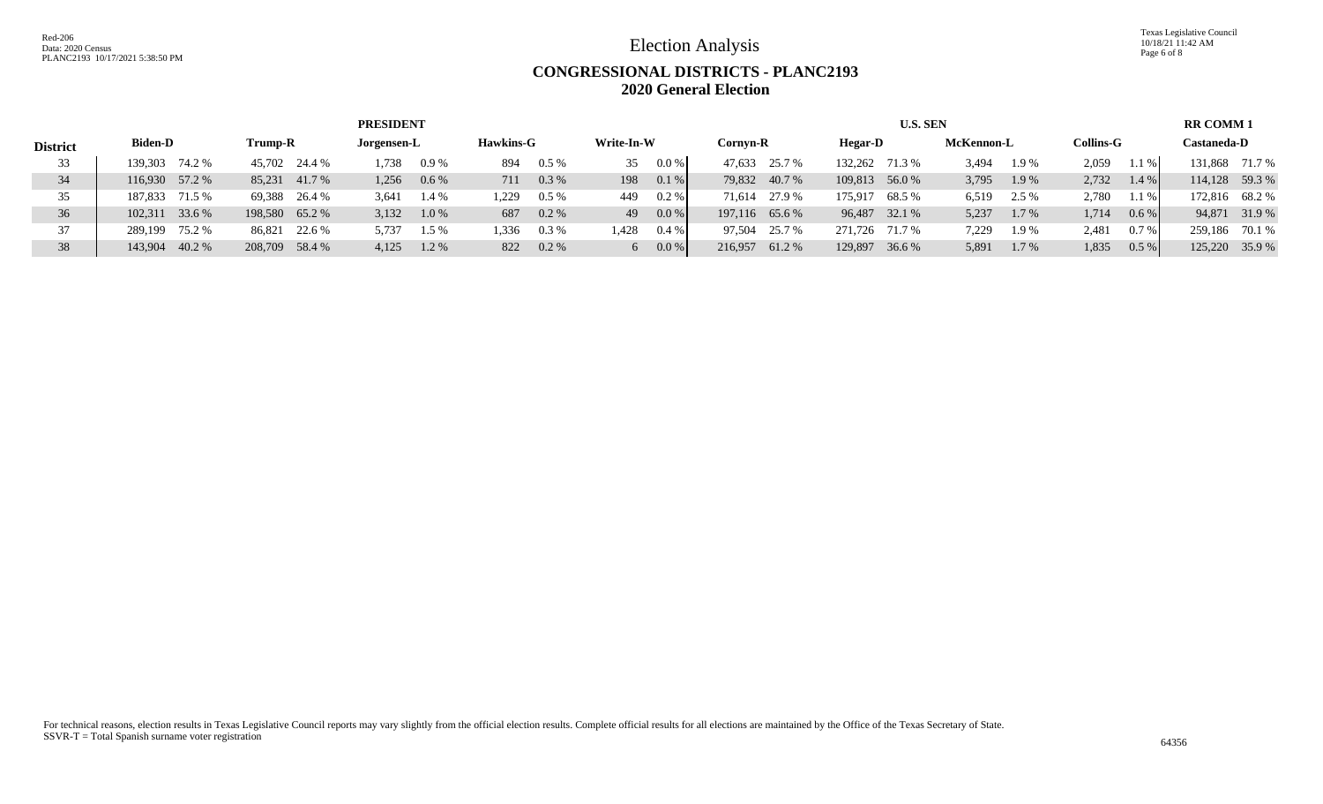Red-206 Data: 2020 Census PLANC2193 10/17/2021 5:38:50 PM

Election Analysis

Texas Legislative Council 10/18/21 11:42 AM Page 6 of 8

# **CONGRESSIONAL DISTRICTS - PLANC2193 2020 General Election**

|                 |                   |                  | <b>PRESIDENT</b> |                  |                  |                  | <b>U.S. SEN</b>   |                |                  | <b>RR COMM1</b>   |
|-----------------|-------------------|------------------|------------------|------------------|------------------|------------------|-------------------|----------------|------------------|-------------------|
| <b>District</b> | <b>Biden-D</b>    | Trump-R          | Jorgensen-L      | <b>Hawkins-G</b> | Write-In-W       | Cornvn-R         | Hegar-D           | McKennon-L     | <b>Collins-G</b> | Castaneda-D       |
| 33              | 74.2 %<br>139.303 | 45,702 24.4 %    | 1,738<br>$0.9\%$ | $0.5\%$<br>894   | $0.0\%$<br>35    | 47.633<br>25.7 % | 132.262<br>71.3 % | 3.494<br>1.9 % | 2,059<br>$.1\%$  | 131,868 71.7 %    |
| 34              | 116,930 57.2 %    | 85.231<br>41.7 % | $0.6\%$<br>1,256 | $0.3\%$<br>711   | 0.1%<br>198      | 79,832 40.7 %    | 109,813 56.0 %    | 1.9%<br>3,795  | 2,732<br>$1.4\%$ | 114,128 59.3 %    |
| 35              | 71.5 %<br>187.833 | 69,388 26.4 %    | 3,641<br>$1.4\%$ | $0.5\%$<br>1,229 | $0.2\%$<br>449   | 27.9 %<br>71.614 | 175.917<br>68.5 % | 6,519<br>2.5 % | 2,780<br>$.1\%$  | 172,816 68.2 %    |
| 36              | 33.6 %<br>102.311 | 198,580 65.2 %   | $1.0\%$<br>3,132 | $0.2\%$<br>687   | 0.0 %<br>49      | 197,116 65.6 %   | 96,487 32.1 %     | 5,237<br>1.7 % | 1,714<br>$0.6\%$ | 94,871 31.9 %     |
| 37              | 75.2 %<br>289.199 | 86,821 22.6 %    | 5,737<br>$1.5\%$ | $0.3\%$<br>1,336 | 1,428<br>$0.4\%$ | 25.7 %<br>97.504 | 271.726<br>71.7 % | 7,229<br>1.9%  | 2,481<br>$0.7\%$ | 259.186<br>70.1 % |
| 38              | 40.2 %<br>143,904 | 208,709 58.4 %   | 1.2 %<br>4,125   | $0.2\%$<br>822   | 0.0 %            | 216.957<br>61.2% | 129,897 36.6 %    | 5,891<br>1.7 % | 1,835<br>$0.5\%$ | 125,220 35.9 %    |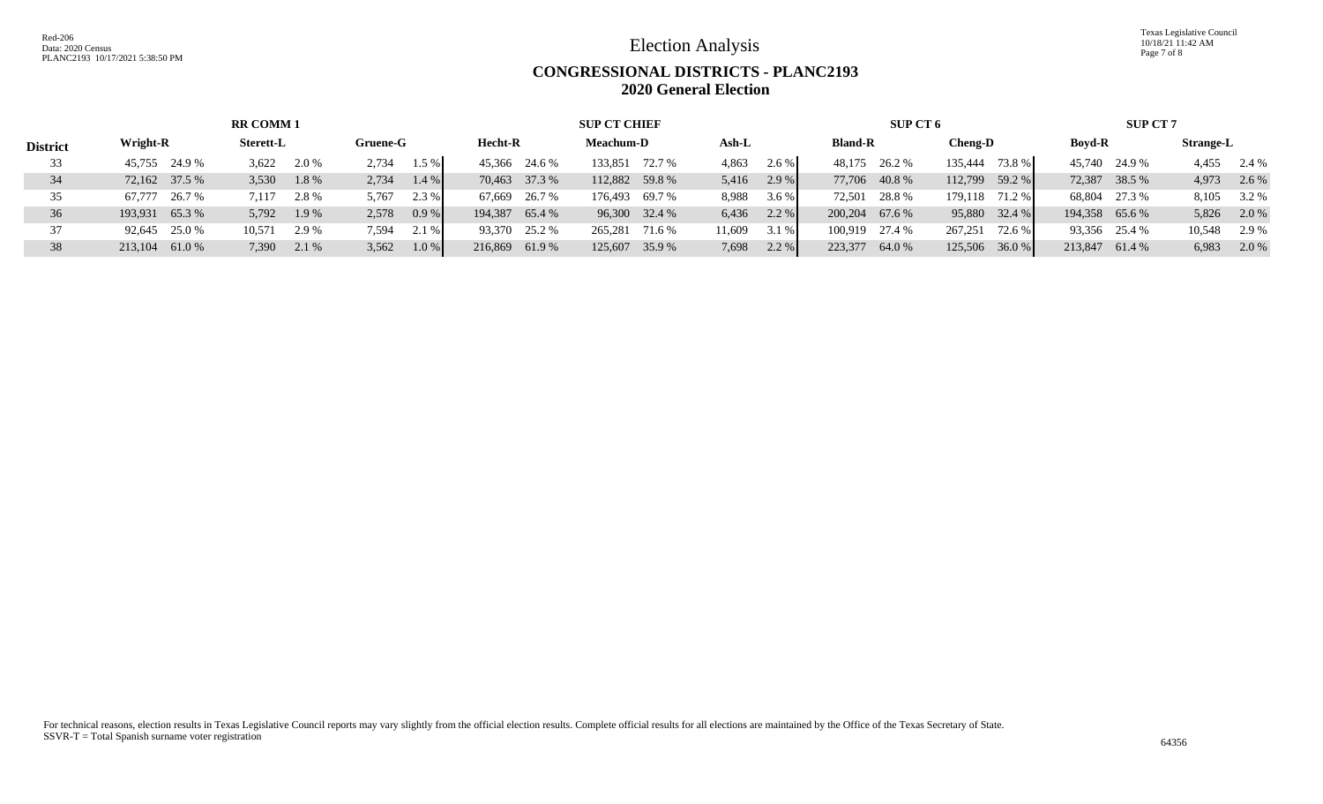Texas Legislative Council 10/18/21 11:42 AM Page 7 of 8

## **CONGRESSIONAL DISTRICTS - PLANC2193 2020 General Election**

|                 |                  | <b>RR COMM1</b>  |                |                   | <b>SUP CT CHIEF</b> |                   | SUP CT 6         |                   | <b>SUP CT 7</b> |                  |
|-----------------|------------------|------------------|----------------|-------------------|---------------------|-------------------|------------------|-------------------|-----------------|------------------|
| <b>District</b> | Wright-R         | <b>Sterett-L</b> | Gruene-G       | <b>Hecht-R</b>    | <b>Meachum-D</b>    | Ash-L             | <b>Bland-R</b>   | <b>Cheng-D</b>    | <b>Boyd-R</b>   | <b>Strange-L</b> |
| 33              | 45,755 24.9 %    | 3,622<br>2.0 %   | 2,734<br>1.5 % | 45,366 24.6 %     | 133,851<br>72.7 %   | 2.6 %<br>4,863    | 48,175 26.2 %    | 73.8 %<br>135.444 | 45,740 24.9 %   | 4,455<br>2.4 %   |
|                 | 72,162 37.5 %    | 1.8%<br>3,530    | 1.4%<br>2,734  | 70,463 37.3 %     | 112,882 59.8 %      | 2.9 %<br>5,416    | 77,706 40.8 %    | 59.2 %<br>112.799 | 72,387 38.5 %   | 4,973<br>2.6 %   |
| 35              | 26.7 %<br>67.777 | 2.8%<br>7.117    | 5,767<br>2.3 % | 67,669 26.7 %     | 69.7 %<br>176,493   | 8,988<br>3.6 %    | 72,501 28.8 %    | 179.118<br>71.2 % | 68,804 27.3 %   | 8,105<br>3.2 %   |
| 36              | 65.3%<br>193.931 | 1.9 %<br>5,792   | 2,578<br>0.9%  | 194.387<br>65.4 % | 96,300 32.4 %       | $2.2 \%$<br>6,436 | 200,204 67.6 %   | 32.4 %<br>95,880  | 194,358 65.6 %  | 5,826<br>2.0 %   |
|                 | 25.0 %<br>92,645 | 10,571<br>2.9 %  | 2.1 %<br>7,594 | 93,370 25.2 %     | 265,281<br>71.6 %   | 11,609<br>3.1 %   | 100,919 27.4 %   | 72.6 %<br>267,251 | 93,356 25.4 %   | 10,548<br>2.9 %  |
| 38              | 61.0%<br>213,104 | 7,390<br>2.1 %   | 3,562<br>1.0%  | 61.9%<br>216,869  | 125,607 35.9 %      | 2.2 %<br>7,698    | 223,377<br>64.0% | 36.0%<br>125,506  | 213,847 61.4 %  | 6,983<br>$2.0\%$ |